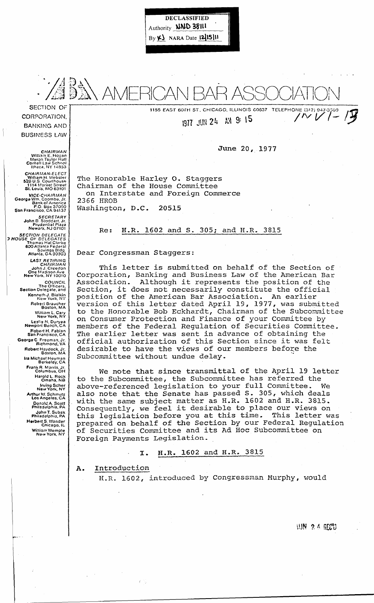DECLASSIFIED Authority **WND 38111**  $By  $\kappa$$  NARA Date  $[2]$ 15] $\mu$ 



1155 EAST 60TH ST., CHICAGO, ILLINOIS 60637 TELEPHONE (312) 947

1977 JUN 24 AM 9: 15

June 20, 1977

The Honorable Harley O. Staggers Chairman of the House Committee on Interstate and Foreign Commerce 2366 HROB Washington, D.C. 20515

Re: H.R. 1602 and S. 305; and H.R. 3815

Dear Congressman Staggers:

This letter is submitted on behalf of the Section of Corporation, Banking and Business Law of the American Bar Although it represents the position of the Association. Although it represents the position of the<br>Section, it does not necessarily constitute the official position of the American Bar Association. An earlier version of this letter dated April 19, 1977, was submitted to the Honorable Bob Eckhardt, Chairman of the Subcommittee on Consumer Protection and Finance of your Committee by members of the Federal Regulation of Securities Committee. The earlier letter was sent in advance of obtaining the The earlier letter was sent in advance of obtaining the<br>official authorization of this Section since it was felt desirable to have the views of our members before the Subcommittee without undue delay.

We note that since transmittal of the April 19 letter to the Subcommittee, the Subcommittee has referred the above-referenced legislation to your full Committee. also note that the Senate has passed S. 305, which deals with the same subject matter as H.R. 1602 and H.R. 3815. Consequently, we feel it desirable to place our views on this legislation before you at this time. This letter was this legislation before you at this time. prepared on behalf of the Section by our Federal Regulation of Securities Committee and its Ad Hoc Subcommittee on Foreign Payments Legislation.

## I. H.R. 1602 and H.R. 3815

A. Introduction

H.R. 1602, introduced by Congressman Murphy, would

**WAY 2 4 REED** 

CORPORATION, BANKING AND **BUSINESS LAW** 

CHAIRMAN<br>William E. Hogan<br>Myron Taylor Hall<br>Cornell Law School<br>Ithaca, NY 14853

CHAIRMAN-ELECT<br>William H. Webster<br>52p U.S. Courthouse<br>1114 Market Street<br>St. Louis, MO 63101

VICE-CHAIRMAN<br>Georga Wm. Coombe, Jr.<br>Bank of Arnerica<br>P.O. Box 37000<br>San Francisco. CA 94137

SECRETARY<br>John B. Stoddart, Jr.<br>Prudential Plaza<br>Newark, NJ 07101

SECTION DELEGATE<br>3 HOUSE OF DELEGATES<br>Thomas Hal Clarke<br>600 Atlanta Federal<br>830303 Savings Bldg.<br>Atlanta, GA 30303

LAST RETIRING<br>CHAIRMAN<br>John J. Creedon<br>One Madison Ave<br>New York. NY 10010

COUNCIL<br>The Officers.<br>Section Delegate, and Kenneth J. Bialkin<br>New Yurk, NY Robert Braucher<br>Boston, MA William *L.* Cary New York, NY Leslie N. Duryea<br>Newport Beach, CA Robert H. Fabian San Francisco, CA George C Freeman, Jr. Richmond, VA Robert Haydock, Jr. 60ston, MA Ira Michael Heyman Berkeley, CA Frank R. Morris. Jr. ColumbUS,OH Harold L. Rock Omaha, NB Irving Scher New York, NY Arthur VI. Schmutz los Angeles, CA Donald A. Scott<br>Philadelphia, PA JohnT. Subak Philadelphia, PA Herbert S. Wander<br>Chicago, IL Wi!liam Wemple<br>New York, NY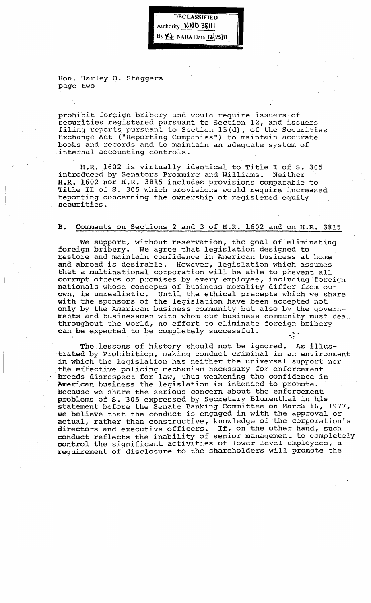DECLASSIFIED Authority **NND 38111**  $By Y$  NARA Date 1215]11

Hon. Harley o. staggers page two

prohibit foreign bribery and would require issuers· of securities registered pursuant to Section 12, and issuers filing reports pursuant to Section l5(d), of the Securities Exchange Act ("Reporting Companies") to maintain accurate books and records and to maintain an adequate system of .internal accounting controls.

H.R. 1602 is virtually identical to Title I of S. 305 introduced by Senators Proxmire and Williams. Neither H.R. 1602 nor H.R. 3815 includes provisions comparable to Title II of S. 305 which provisions would require increased reporting concerning the ownership of registered equity securities.

#### B. Comments on Sections 2 and 3 of H.R. 1602 and on H.R. 3815

We support, without reservation, the goal of eliminating foreign bribery. We agree that legislation designed to restore and maintain confidence in American business at home and abroad is desirable. However, legislation which assumes that a multinational corporation will be able to prevent all corrupt offers or promises by every employee, including foreign nationals whose concepts of business morality differ from our own, is unrealistic. Until the ethical precepts which we shat Until the ethical precepts which we share with the sponsors of the legislation have been accepted not only by the American business community but also by the governments and businessmen with whom our business community must deal throughout the world, no effort to eliminate foreign bribery can be expected to be completely successful.  $\mathcal{L}^{\text{max}}$ 

The lessons of history should not be ignored. As illustrated by Prohibition, making conduct criminal in an environment in which the legislation has neither the universal support nor the effective policing mechanism necessary for enforcement breeds disrespect for law, thus weakening the confidence in American business the legislation is intended to promote. Because we share the serious concern about the enforcement problems of S.305 expressed by Secretary Blumenthal in his statement before the Senate Banking Committee on March 16, 1977, statement before the benate banking committee on nation to, is . actual, rather than constructive, knowledge of the corporation's directors and executive officers. If, on the other hand, such directors and executive officers. If, on the other hand, such conduct reflects the inability of senior management to completely control the significant activities of lower level employees, a requirement of disclosure to the shareholders will promote the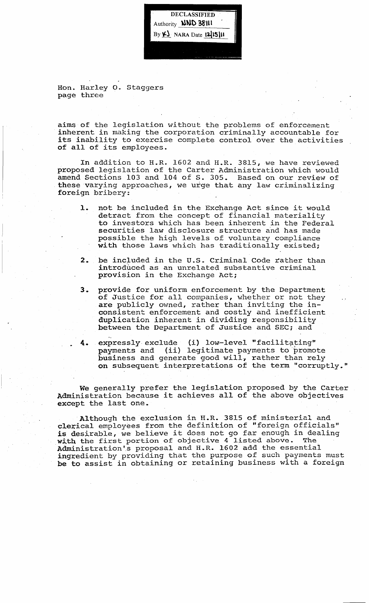DECLASSIFIED Authority **NND 38111** By  $\underline{\mathbf{V}}$  NARA Date  $[2]$ 15]

Hon. Harley o. Staggers page three

aims of the legislation without the problems of enforcement inherent in making the corporation criminally accountable for its inability to exercise complete control over the activities of all of its employees.

In addition to H.R. 1602 and H.R. 3815, we have reviewed proposed legislation of the Carter Administration which would amend Sections 103 and 104 of S. 305. Based on our review of these varying approaches, we urge that any law criminalizing foreign bribery: .

- **1.** not be included in the Exchange Act since it would detract from the concept of financial materiality to investors which has been inherent in the Federal securities law disclosure structure and has made possible the high levels of voluntary compliance with those laws which has traditionally existed;
- 2. be included in the U.S. Criminal Code rather than introduced as an unrelated substantive criminal provision in the Exchange Act;
- **3.** provide for uniform enforcement by the Department provide for difficult enforcement by the bepartment<br>of Justice for all companies, whether or not they are publicly owned, rather than inviting the inconsistent enforcement and costly and inefficient duplication inherent in dividing responsibility between the Department of Justice and SEC; and
- 4. expressly exclude (i) low-level "facilitating" payments and (ii) legitimate payments to promote business and generate good will~ rather than rely publicate that yendered your when the second their term "corruptly."

We generally prefer the legislation proposed by the Carter Administration because it achieves all of the above objectives except the last one.

Although the exclusion in H.R. 3815 of ministerial and clerical employees from the definition of "foreign officials" is desirable, we believe it does not go far enough in dealing with the first portion of objective  $4$  listed above. The Administration's proposal and H.R. 1602 add the essential ingredient by providing that the purpose of such payments must be to assist in obtaining or retaining business with a foreign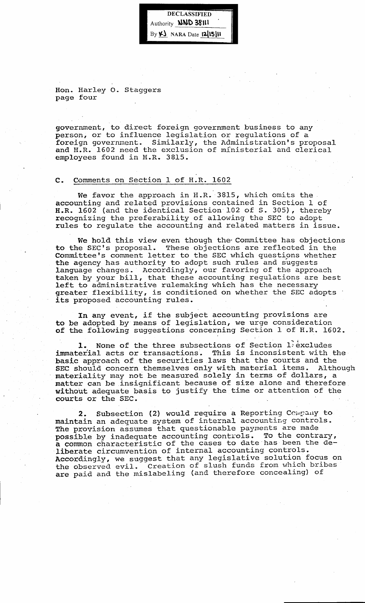DECLASSIFIED Authority **NND 38111**  $By  $\kappa$$  NARA Date 1215]11

Hon. Harley o. Staggers page four

government, to direct foreign government business to any person, or to influence legislation or regulations of a<br>foreign government. Similarly, the Administration's pro Similarly, the Administration's proposal and H.R. 1602 need the exclusion of ministerial and clerical employees found in H.R. 3815.

# C. Comments on Section 1 of H.R. 1602

We favor the approach in  $H.R.3815$ , which omits the accounting and related provisions contained in Section 1 of H.R. 1602 (and the identical Section 102 of S. 305), thereby recognizing the preferability of allowing the SEC to adopt rules to regulate the accounting and related matters in issue.

We hold this view even though the Committee has objections to the SEC's proposal. These objections are reflected in the Committee's comment letter to the SEC which questions whether the agency has authority to adopt such rules and suggests language changes. Accordingly, our favoring of the approach tanguage changes. Accordingly, our ravoiling of the approach Laken by your bill, that these accounting regulations are greater flexibility, is conditioned on whether the SEC adopts its proposed accounting rules.

In any event, if the subject accounting provisions are to be adopted by means of legislation, we urge consideration of the following suggestions concerning Section 1 of H.R. 1602.

1. None of the three subsections of Section 1 excludes immaterial acts or transactions. This is inconsistent with the basic approach of the securities law's that the courts and the SEC should concern themselves only with material items. Although materiality may not be measured solely in terms of dollars, a matter can be insignificant because of size alone and therefore without adequate basis to justify the time or attention of the courts or the SEC.

2. Subsection (2) would require a Reporting Company to maintain an adequate system of internal accounting controls. The provision assumes that questionable payments are made possible by inadequate accounting controls. To the contrary, a common characteristic of the cases to date has been the deliberate circumvention of internal accounting controls. Accordingly, we suggest that any legislative solution focus on Accordingly, we suggest that any regressive servation issues are paid and the mislabeling (and therefore concealing) of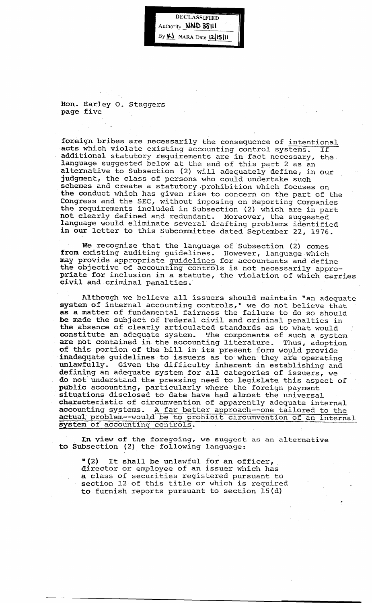DECLASSIFIED Authority **NND 38111** By  $K_{\lambda}$  NARA Date 1215|11

Hon. Harley O. staggers page five

foreign bribes are necessarily the consequence of intentional acts which violate existing accounting control systems. If additional statutory requirements are in fact necessary, the language suggested below at the end of this part 2 as an alternative to Subsection (2) will adequately define, in our judgment, the class of persons who could undertake such schemes and create a statutory prohibition which focuses on the conduct which has given rise to concern on the part of the Congress and the SEC, without imposing on Reporting Companies the requirements included in Subsection (2) which are in part not clearly defined and redundant. Moreover, the suggested language would eliminate several drafting problems identified in our letter to this Subcommittee dated September 22, 1976.

We recognize that the language of Subsection (2) comes from existing auditing guidelines. However, language-which may provide appropriate guidelines for accountants and define the objective of accounting controls is not necessarily appropriate for inclusion in a statute, the violation of which carries civil and criminal penalties.

Although we believe all issuers should maintain "an adequate system of internal accounting controls," we do not believe that as a matter of fundamental fairness the failure to do so should be made the subject of Federal civil and criminal penalties in the absence of clearly articulated standards as to what would constitute an adequate system. The components of such a system are not contained in the accounting literature. Thus, adoption are not contained in the accounting fiterature. Thus, adoptic<br>of this portion of the bill in its present form would provide inadequate guidelines to issuers as to when they are operating unlawfully. Given the difficulty inherent in establishing and defining an adequate system for all categories of issuers, we do not understand the pressing need to legislate this aspect of public accounting, particularly where the foreign payment situations disclosed to date have had almost the universal characteristic of circumvention of apparently adequate internal accounting systems. A far better approach--one tailored to the actual problem--would be to prohibit circumvention of an internal system of accounting controls.

In view of the foregoing, we suggest as an alternative to Subsection (2) the following language:

"(2) It shall be unlawful for an officer, director or employee of an issuer which has a class of securities registered pursuant to section 12 of this title or which is required to furnish reports pursuant to section 15(d)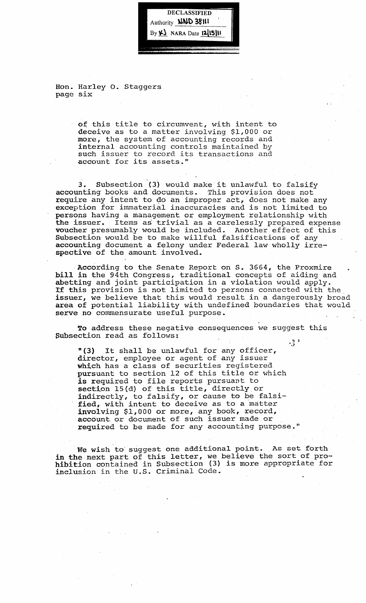

Hon. Harley o. Staggers page six

> of this title to circumvent, with intent to deceive as to a matter involving \$1,000 or more, the system of accounting records and internal accounting controls maintained by such issuer to record its transactions and account for its assets."

3. Subsection (3) would make it unlawful to falsify accounting books and documents. This provision does not require any intent to do an improper act, does not make any exception for immaterial inaccuracies and is not limited to persons having a management or employment relationship with the issuer. Items as trivial as a carelessly prepared expense voucher presumably would be included. Another effect of this subsection would be to make willful falsifications of any accounting document a felony under Federal law wholly irrespective of the amount involved.

. According to the Senate Report on S. 3664, the Proxmire bill in the 94th Congress, traditional concepts of aiding and abetting and joint participation in a violation would apply. Xf this provision is not limited to persons connected with the. issuer, we believe that this would result in a dangerously broad area of potential liability with undefined boundaries that would serve no commensurate useful purpose.

To address these negative consequences we suggest this Subsection read as follows:  $\frac{1}{2}$ 

"(3) It shall be unlawful for any officer, director, employee or agent of any issuer which has a class of securities registered pursuant to section 12 of this title or which *is* required to file reports pursuant to section 15(d) of this title, directly or  $\frac{1}{2}$  indirectly, to falsify, or cause to be falsified, with intent to deceive as to a matter involving \$1,000 or more, any book, record, account or document of such issuer made or required to be made for any accounting purpose."

We wish to suggest one additional point. As set forth in the next part of this letter, we believe the sort of pro-In the next part of this letter, we believe the sort of pro<br>hibition contained in Subsection (3) is more appropriate for inclusion in the u.S. Criminal Code.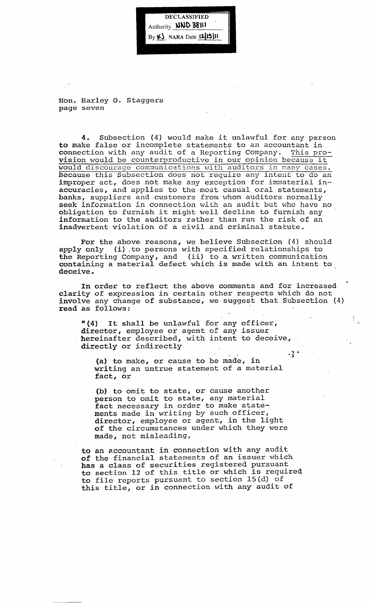**DECLASSIFIED** Authority **NND 38111** By K) NARA Date 1215111

Hon. Harley O. Staggers page seven

4. Subsection (4) would make it unlawful for any person to make false or incomplete statements to an accountant in connection with any audit of a Reporting Company. This pro-<br>vision would be counterproductive in our opinion because it would discourage communications with auditors in many cases. Because this Subsection does not require any intent to do an improper act, does not make any exception for immaterial inaccuracies, and applies to the most casual oral statements, banks, suppliers and customers from whom auditors normally seek information in connection with an audit but who have no obligation to furnish it might well decline to furnish any information to the auditors rather than run the risk of an inadvertent violation of a civil and criminal statute.

For the above reasons, we believe Subsection (4) should apply only (i) to persons with specified relationships to the Reporting Company, and (ii) to a written communication containing a material defect \V'hich *is* made 'vi th an intent to deceive ..

In order to reflect the above comments and for increased clarity of expression in certain other respects which do not involve any change of substance, we suggest that Subsection (4) read as follows:

"(4) It shall be unlawful for any officer, director, employee or agent of any issuer hereinafter described, with intent to deceive, directly or indirectly  $\cdot$   $\}$ <sup>-1</sup>

(a) to make, or cause to be made, in writing an untrue statement of a material fact, or

(b) to omit to state, or cause another person to omit to state, any material person to omit to state, any material ments made in writing by such officer, director, employee or agent, in the light of the circumstances under which they were made, not misleading,

to an accountant in connection with any audit of the financial statements of an issuer which has a class of securities registered pursuant to section 12 of this title or which is required to file reports pursuant to section 15{d) of this title, or in connection with any audit of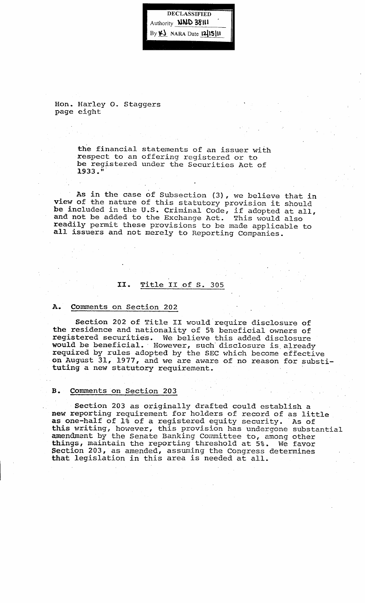DECLASSIFIED Authority **NND 38111** By  $\n *Y*\n$  NARA Date 12 15 |11

Hon. Harley o. Staggers page eight

> the financial statements of an issuer with respect to an offering registered or to be registered under the Securities Act of 1933.""

As *in* the case of Subsection (3), we believe that in view of the nature of this statutory provision it should be included in the u.S. Criminal Code, if adopted at all, and not be added to the Exchange Act. This would also readily permit these provisions to be made applicable to all issuers and not merely to Reporting Companies.

# II. Title II of s. 305

#### A. Comments on Section 202

Section 202 of Title II would require disclosure of the residence and nationality of 5% beneficial owners of registered securities. We believe this added disclosure would be beneficial. - However, such- disclosure *is,* already required by rules adopted by the SEC which become effective on August 31, 1977, and we are aware of no reason for substituting a new statutory requirement.

## B. Comments on Section 203

Section 203 as originally drafted could establish a new reporting requirement for holders of record of as little as one-half of 1% of a registered equity security. As of this writing, however, this provision has undergone substantial amendment by the Senate Banking Committee to, among other things, maintain the reporting threshold at 5%. We favor Section 203, as amended, assuming the Congress determines pectron 200, as amended, assuming the congress of